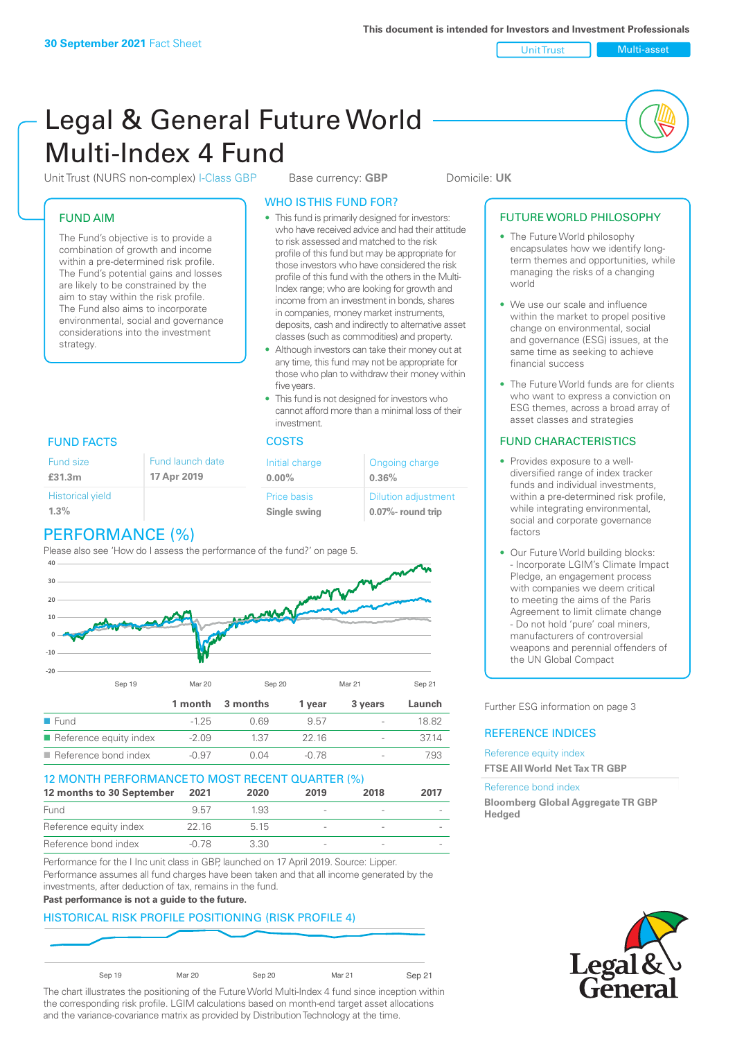Unit Trust Multi-asset

# Legal & General Future World Multi-Index 4 Fund

Unit Trust (NURS non-complex) I-Class GBP Base currency: **GBP** Domicile: UK

#### FUND AIM

The Fund's objective is to provide a combination of growth and income within a pre-determined risk profile. The Fund's potential gains and losses are likely to be constrained by the aim to stay within the risk profile. The Fund also aims to incorporate environmental, social and governance considerations into the investment strategy.

#### WHO IS THIS FUND FOR?

- This fund is primarily designed for investors: who have received advice and had their attitude to risk assessed and matched to the risk profile of this fund but may be appropriate for those investors who have considered the risk profile of this fund with the others in the Multi-Index range; who are looking for growth and income from an investment in bonds, shares in companies, money market instruments, deposits, cash and indirectly to alternative asset classes (such as commodities) and property.
- Although investors can take their money out at any time, this fund may not be appropriate for those who plan to withdraw their money within five years.
- This fund is not designed for investors who cannot afford more than a minimal loss of their investment.

| Fund launch date | Initial charge              | Ongoing charge                                      |  |
|------------------|-----------------------------|-----------------------------------------------------|--|
| 17 Apr 2019      | $0.00\%$                    | 0.36%                                               |  |
|                  | Price basis<br>Single swing | <b>Dilution adjustment</b><br>$0.07\%$ - round trip |  |

#### FUND FACTS COSTS

Fund size **£31.3m**

| <b>Historical yield</b> |  |
|-------------------------|--|
| 1.3%                    |  |
|                         |  |

### PERFORMANCE (%)

Please also see 'How do I assess the performance of the fund?' on page 5.



#### 12 MONTH PERFORMANCE TO MOST RECENT QUARTER (%)

| 12 months to 30 September | 2021  | 2020 | 2019   | 2018                     | 2017 |
|---------------------------|-------|------|--------|--------------------------|------|
| Fund                      | 957   | 1.93 | $\sim$ | $\overline{\phantom{a}}$ |      |
| Reference equity index    | 22.16 | 5 15 |        |                          |      |
| Reference bond index      | -0.78 | 3.30 |        | $\sim$                   |      |

Performance for the I Inc unit class in GBP, launched on 17 April 2019. Source: Lipper. Performance assumes all fund charges have been taken and that all income generated by the investments, after deduction of tax, remains in the fund.

#### **Past performance is not a guide to the future.**

#### HISTORICAL RISK PROFILE POSITIONING (RISK PROFILE 4)



Sep 19 Mar 20 Sep 20 Mar 21 Sep 21

The chart illustrates the positioning of the Future World Multi-Index 4 fund since inception within the corresponding risk profile. LGIM calculations based on month-end target asset allocations and the variance-covariance matrix as provided by Distribution Technology at the time.

#### FUTURE WORLD PHILOSOPHY

- The Future World philosophy encapsulates how we identify longterm themes and opportunities, while managing the risks of a changing world
- We use our scale and influence within the market to propel positive change on environmental, social and governance (ESG) issues, at the same time as seeking to achieve financial success
- The Future World funds are for clients who want to express a conviction on ESG themes, across a broad array of asset classes and strategies

#### FUND CHARACTERISTICS

- Provides exposure to a welldiversified range of index tracker funds and individual investments, within a pre-determined risk profile while integrating environmental, social and corporate governance factors
- Our Future World building blocks: - Incorporate LGIM's Climate Impact Pledge, an engagement process with companies we deem critical to meeting the aims of the Paris Agreement to limit climate change - Do not hold 'pure' coal miners, manufacturers of controversial weapons and perennial offenders of the UN Global Compact

Further ESG information on page 3

#### REFERENCE INDICES

Reference equity index **FTSE All World Net Tax TR GBP**

#### Reference bond index

**Bloomberg Global Aggregate TR GBP Hedged**

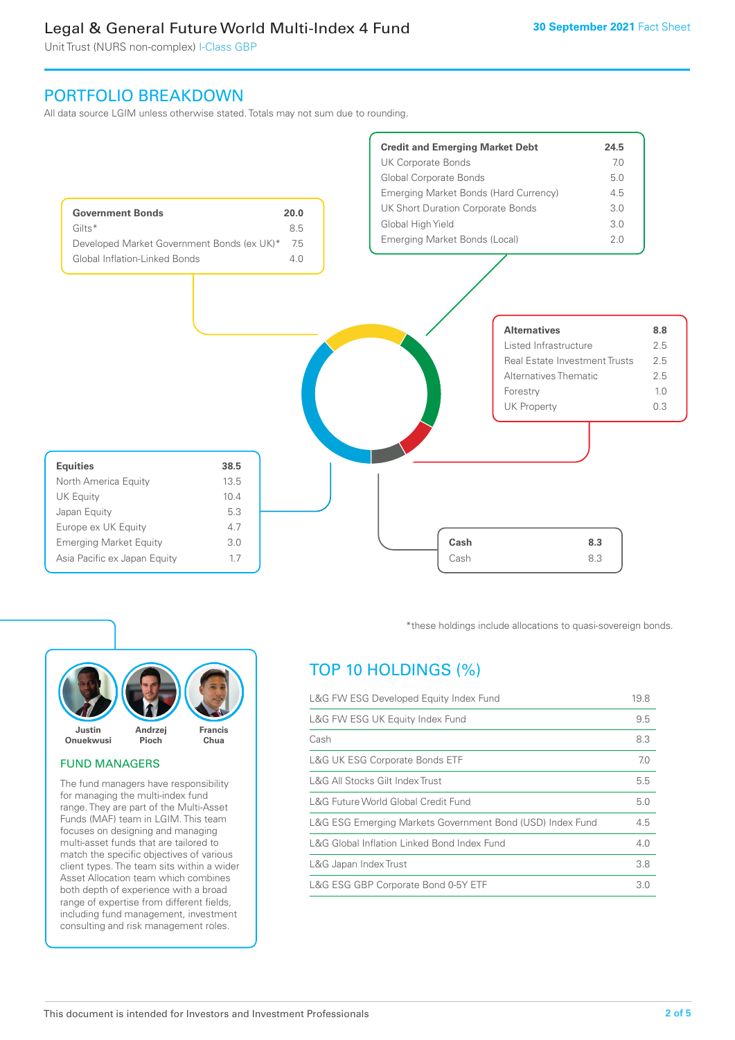Unit Trust (NURS non-complex) I-Class GBP

### PORTFOLIO BREAKDOWN

All data source LGIM unless otherwise stated. Totals may not sum due to rounding.





#### FUND MANAGERS

The fund managers have responsibility for managing the multi-index fund range. They are part of the Multi-Asset Funds (MAF) team in LGIM. This team focuses on designing and managing multi-asset funds that are tailored to match the specific objectives of various client types. The team sits within a wider Asset Allocation team which combines both depth of experience with a broad range of expertise from different fields, including fund management, investment consulting and risk management roles.

\*these holdings include allocations to quasi-sovereign bonds.

## TOP 10 HOLDINGS (%)

| L&G FW ESG Developed Equity Index Fund                    | 19.8 |
|-----------------------------------------------------------|------|
| L&G FW ESG UK Equity Index Fund                           | 9.5  |
| Cash                                                      | 8.3  |
| <b>L&amp;G UK ESG Corporate Bonds ETF</b>                 | 7.0  |
| L&G All Stocks Gilt Index Trust                           | 5.5  |
| L&G Future World Global Credit Fund                       | 5.0  |
| L&G ESG Emerging Markets Government Bond (USD) Index Fund | 4.5  |
| L&G Global Inflation Linked Bond Index Fund               | 4.0  |
| L&G Japan Index Trust                                     | 3.8  |
| L&G ESG GBP Corporate Bond 0-5Y ETF                       | 3.0  |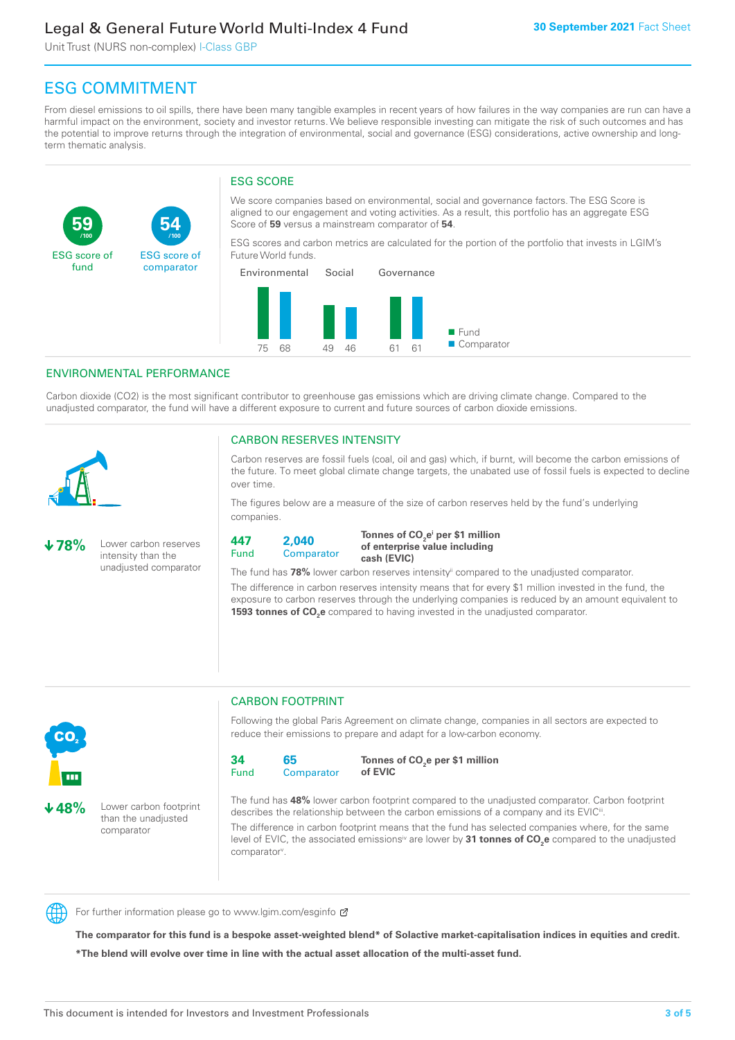Unit Trust (NURS non-complex) I-Class GBP

**54**

ESG score of comparator

### ESG COMMITMENT

From diesel emissions to oil spills, there have been many tangible examples in recent years of how failures in the way companies are run can have a harmful impact on the environment, society and investor returns. We believe responsible investing can mitigate the risk of such outcomes and has the potential to improve returns through the integration of environmental, social and governance (ESG) considerations, active ownership and longterm thematic analysis.

#### ESG SCORE

We score companies based on environmental, social and governance factors. The ESG Score is aligned to our engagement and voting activities. As a result, this portfolio has an aggregate ESG Score of **59** versus a mainstream comparator of **54**.

ESG scores and carbon metrics are calculated for the portion of the portfolio that invests in LGIM's Future World funds.



#### ENVIRONMENTAL PERFORMANCE

**/100 /100**

Carbon dioxide (CO2) is the most significant contributor to greenhouse gas emissions which are driving climate change. Compared to the unadjusted comparator, the fund will have a different exposure to current and future sources of carbon dioxide emissions.



**59**

ESG score of fund

#### CARBON RESERVES INTENSITY

Carbon reserves are fossil fuels (coal, oil and gas) which, if burnt, will become the carbon emissions of the future. To meet global climate change targets, the unabated use of fossil fuels is expected to decline over time.

The figures below are a measure of the size of carbon reserves held by the fund's underlying companies.

**78%** Lower carbon reserves intensity than the unadjusted comparator

> than the unadjusted comparator



Tonnes of CO<sub>2</sub>e<sup>i</sup> per \$1 million **of enterprise value including cash (EVIC)**

The fund has 78% lower carbon reserves intensity<sup>ii</sup> compared to the unadjusted comparator.

The difference in carbon reserves intensity means that for every \$1 million invested in the fund, the exposure to carbon reserves through the underlying companies is reduced by an amount equivalent to **1593 tonnes of CO<sub>2</sub>e** compared to having invested in the unadjusted comparator.



### CARBON FOOTPRINT

Following the global Paris Agreement on climate change, companies in all sectors are expected to reduce their emissions to prepare and adapt for a low-carbon economy.



**Tonnes of CO2 e per \$1 million of EVIC**

The fund has **48%** lower carbon footprint compared to the unadjusted comparator. Carbon footprint describes the relationship between the carbon emissions of a company and its EVIC<sup>ii</sup>.

The difference in carbon footprint means that the fund has selected companies where, for the same level of EVIC, the associated emissions<sup>iv</sup> are lower by **31 tonnes of CO<sub>2</sub>e** compared to the unadjusted comparator<sup>v</sup>.



For further information please go to www.lgim.com/esginfo Ø

**The comparator for this fund is a bespoke asset-weighted blend\* of Solactive market-capitalisation indices in equities and credit. \*The blend will evolve over time in line with the actual asset allocation of the multi-asset fund.**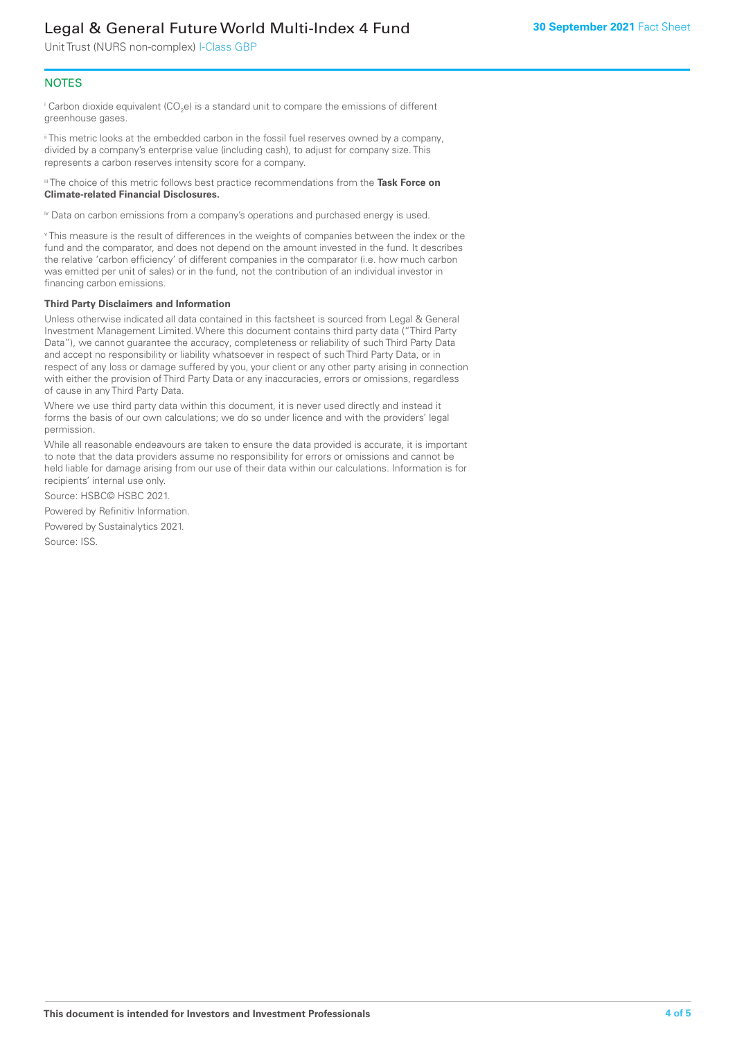Unit Trust (NURS non-complex) I-Class GBP

#### **NOTES**

 $^\mathrm{i}$  Carbon dioxide equivalent (CO<sub>2</sub>e) is a standard unit to compare the emissions of different greenhouse gases.

ii This metric looks at the embedded carbon in the fossil fuel reserves owned by a company, divided by a company's enterprise value (including cash), to adjust for company size. This represents a carbon reserves intensity score for a company.

iii The choice of this metric follows best practice recommendations from the **Task Force on Climate-related Financial Disclosures.**

iv Data on carbon emissions from a company's operations and purchased energy is used.

v This measure is the result of differences in the weights of companies between the index or the fund and the comparator, and does not depend on the amount invested in the fund. It describes the relative 'carbon efficiency' of different companies in the comparator (i.e. how much carbon was emitted per unit of sales) or in the fund, not the contribution of an individual investor in financing carbon emissions.

#### **Third Party Disclaimers and Information**

Unless otherwise indicated all data contained in this factsheet is sourced from Legal & General Investment Management Limited. Where this document contains third party data ("Third Party Data"), we cannot guarantee the accuracy, completeness or reliability of such Third Party Data and accept no responsibility or liability whatsoever in respect of such Third Party Data, or in respect of any loss or damage suffered by you, your client or any other party arising in connection with either the provision of Third Party Data or any inaccuracies, errors or omissions, regardless of cause in any Third Party Data.

Where we use third party data within this document, it is never used directly and instead it forms the basis of our own calculations; we do so under licence and with the providers' legal permission.

While all reasonable endeavours are taken to ensure the data provided is accurate, it is important to note that the data providers assume no responsibility for errors or omissions and cannot be held liable for damage arising from our use of their data within our calculations. Information is for recipients' internal use only.

Source: HSBC© HSBC 2021.

Powered by Refinitiv Information.

Powered by Sustainalytics 2021.

Source: ISS.